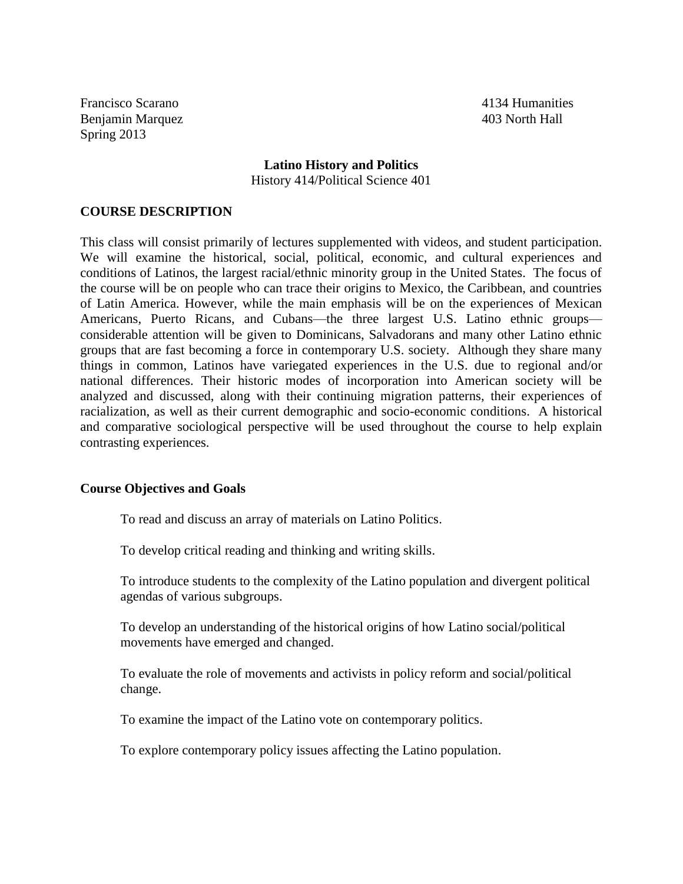Francisco Scarano 4134 Humanities Benjamin Marquez 403 North Hall Spring 2013

# **Latino History and Politics** History 414/Political Science 401

#### **COURSE DESCRIPTION**

This class will consist primarily of lectures supplemented with videos, and student participation. We will examine the historical, social, political, economic, and cultural experiences and conditions of Latinos, the largest racial/ethnic minority group in the United States. The focus of the course will be on people who can trace their origins to Mexico, the Caribbean, and countries of Latin America. However, while the main emphasis will be on the experiences of Mexican Americans, Puerto Ricans, and Cubans—the three largest U.S. Latino ethnic groups considerable attention will be given to Dominicans, Salvadorans and many other Latino ethnic groups that are fast becoming a force in contemporary U.S. society. Although they share many things in common, Latinos have variegated experiences in the U.S. due to regional and/or national differences. Their historic modes of incorporation into American society will be analyzed and discussed, along with their continuing migration patterns, their experiences of racialization, as well as their current demographic and socio-economic conditions. A historical and comparative sociological perspective will be used throughout the course to help explain contrasting experiences.

#### **Course Objectives and Goals**

To read and discuss an array of materials on Latino Politics.

To develop critical reading and thinking and writing skills.

To introduce students to the complexity of the Latino population and divergent political agendas of various subgroups.

To develop an understanding of the historical origins of how Latino social/political movements have emerged and changed.

To evaluate the role of movements and activists in policy reform and social/political change.

To examine the impact of the Latino vote on contemporary politics.

To explore contemporary policy issues affecting the Latino population.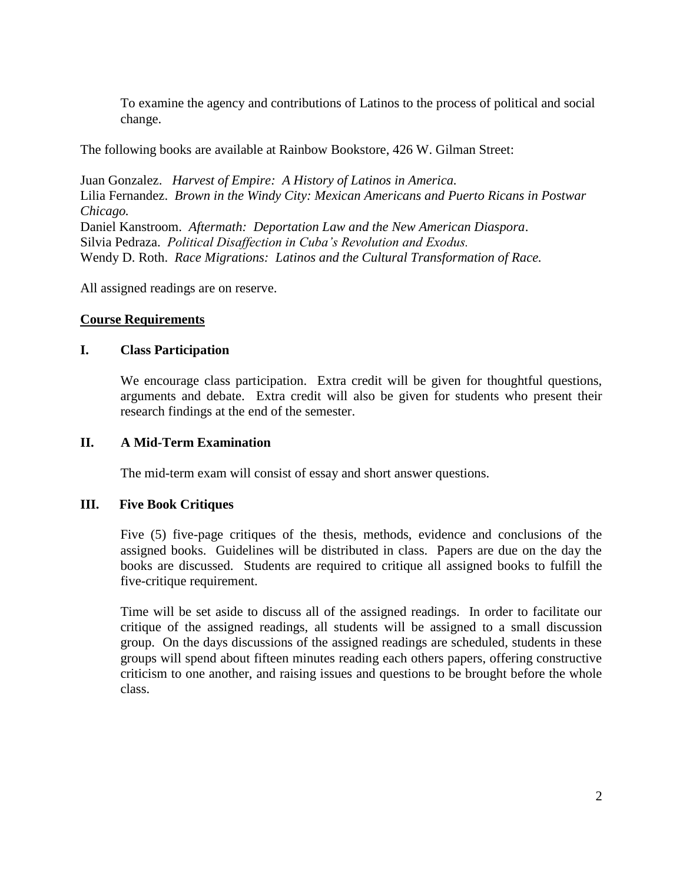To examine the agency and contributions of Latinos to the process of political and social change.

The following books are available at Rainbow Bookstore, 426 W. Gilman Street:

Juan Gonzalez. *Harvest of Empire: A History of Latinos in America.* Lilia Fernandez. *Brown in the Windy City: Mexican Americans and Puerto Ricans in Postwar Chicago.* Daniel Kanstroom. *Aftermath: Deportation Law and the New American Diaspora*. Silvia Pedraza. *Political Disaffection in Cuba's Revolution and Exodus.* Wendy D. Roth. *Race Migrations: Latinos and the Cultural Transformation of Race.*

All assigned readings are on reserve.

# **Course Requirements**

# **I. Class Participation**

We encourage class participation. Extra credit will be given for thoughtful questions, arguments and debate. Extra credit will also be given for students who present their research findings at the end of the semester.

## **II. A Mid-Term Examination**

The mid-term exam will consist of essay and short answer questions.

## **III. Five Book Critiques**

Five (5) five-page critiques of the thesis, methods, evidence and conclusions of the assigned books. Guidelines will be distributed in class. Papers are due on the day the books are discussed. Students are required to critique all assigned books to fulfill the five-critique requirement.

Time will be set aside to discuss all of the assigned readings. In order to facilitate our critique of the assigned readings, all students will be assigned to a small discussion group. On the days discussions of the assigned readings are scheduled, students in these groups will spend about fifteen minutes reading each others papers, offering constructive criticism to one another, and raising issues and questions to be brought before the whole class.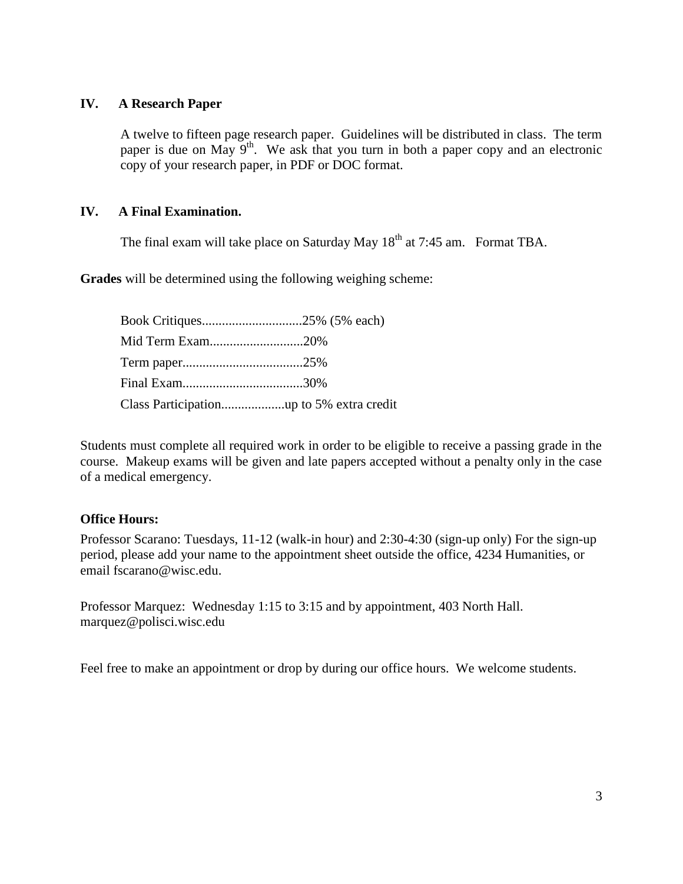# **IV. A Research Paper**

A twelve to fifteen page research paper. Guidelines will be distributed in class. The term paper is due on May  $9<sup>th</sup>$ . We ask that you turn in both a paper copy and an electronic copy of your research paper, in PDF or DOC format.

# **IV. A Final Examination.**

The final exam will take place on Saturday May  $18<sup>th</sup>$  at 7:45 am. Format TBA.

**Grades** will be determined using the following weighing scheme:

| Mid Term Exam20% |  |
|------------------|--|
|                  |  |
|                  |  |
|                  |  |

Students must complete all required work in order to be eligible to receive a passing grade in the course. Makeup exams will be given and late papers accepted without a penalty only in the case of a medical emergency.

## **Office Hours:**

Professor Scarano: Tuesdays, 11-12 (walk-in hour) and 2:30-4:30 (sign-up only) For the sign-up period, please add your name to the appointment sheet outside the office, 4234 Humanities, or email fscarano@wisc.edu.

Professor Marquez: Wednesday 1:15 to 3:15 and by appointment, 403 North Hall. marquez@polisci.wisc.edu

Feel free to make an appointment or drop by during our office hours. We welcome students.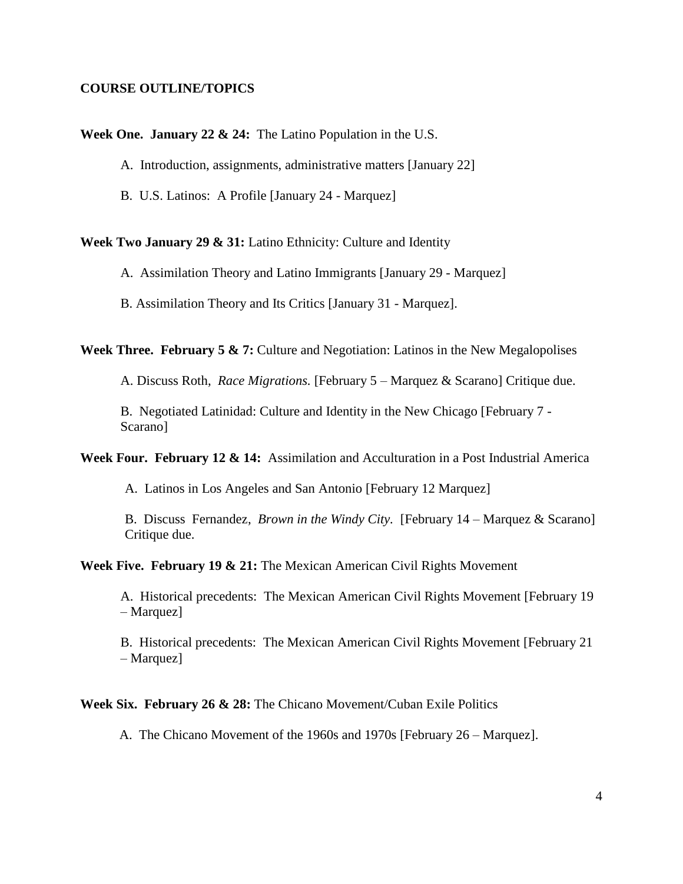#### **COURSE OUTLINE/TOPICS**

**Week One. January 22 & 24:** The Latino Population in the U.S.

A. Introduction, assignments, administrative matters [January 22]

B. U.S. Latinos: A Profile [January 24 - Marquez]

**Week Two January 29 & 31:** Latino Ethnicity: Culture and Identity

A. Assimilation Theory and Latino Immigrants [January 29 - Marquez]

B. Assimilation Theory and Its Critics [January 31 - Marquez].

Week Three. February 5 & 7: Culture and Negotiation: Latinos in the New Megalopolises

A. Discuss Roth, *Race Migrations.* [February 5 – Marquez & Scarano] Critique due.

B. Negotiated Latinidad: Culture and Identity in the New Chicago [February 7 - Scarano]

Week Four. February 12 & 14: Assimilation and Acculturation in a Post Industrial America

A. Latinos in Los Angeles and San Antonio [February 12 Marquez]

B. Discuss Fernandez, *Brown in the Windy City.* [February 14 – Marquez & Scarano] Critique due.

Week Five. February 19 & 21: The Mexican American Civil Rights Movement

A. Historical precedents: The Mexican American Civil Rights Movement [February 19 – Marquez]

B. Historical precedents: The Mexican American Civil Rights Movement [February 21 – Marquez]

#### **Week Six. February 26 & 28:** The Chicano Movement/Cuban Exile Politics

A. The Chicano Movement of the 1960s and 1970s [February 26 – Marquez].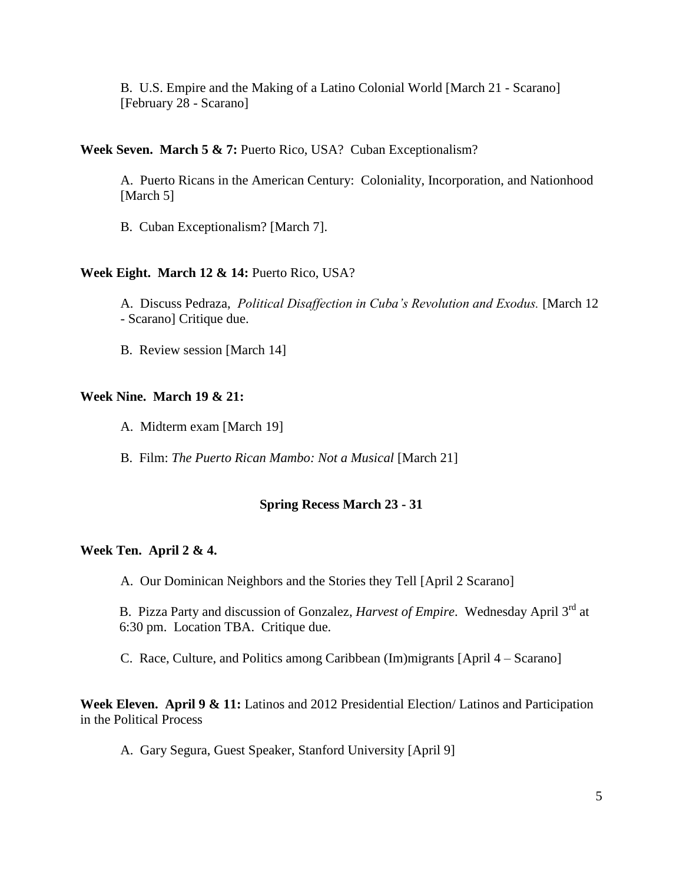B. U.S. Empire and the Making of a Latino Colonial World [March 21 - Scarano] [February 28 - Scarano]

**Week Seven. March 5 & 7:** Puerto Rico, USA? Cuban Exceptionalism?

A. Puerto Ricans in the American Century: Coloniality, Incorporation, and Nationhood [March 5]

B. Cuban Exceptionalism? [March 7].

## **Week Eight. March 12 & 14:** Puerto Rico, USA?

A. Discuss Pedraza, *Political Disaffection in Cuba's Revolution and Exodus.* [March 12 - Scarano] Critique due.

B. Review session [March 14]

## **Week Nine. March 19 & 21:**

A. Midterm exam [March 19]

B. Film: *The Puerto Rican Mambo: Not a Musical* [March 21]

## **Spring Recess March 23 - 31**

#### **Week Ten. April 2 & 4.**

A. Our Dominican Neighbors and the Stories they Tell [April 2 Scarano]

B. Pizza Party and discussion of Gonzalez, *Harvest of Empire*. Wednesday April 3rd at 6:30 pm. Location TBA. Critique due.

C. Race, Culture, and Politics among Caribbean (Im)migrants [April 4 – Scarano]

**Week Eleven. April 9 & 11:** Latinos and 2012 Presidential Election/ Latinos and Participation in the Political Process

A. Gary Segura, Guest Speaker, Stanford University [April 9]